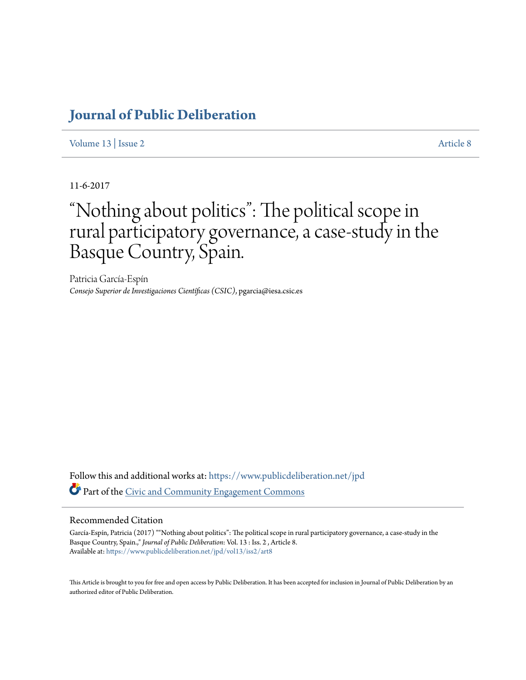# **[Journal of Public Deliberation](https://www.publicdeliberation.net/jpd?utm_source=www.publicdeliberation.net%2Fjpd%2Fvol13%2Fiss2%2Fart8&utm_medium=PDF&utm_campaign=PDFCoverPages)**

[Volume 13](https://www.publicdeliberation.net/jpd/vol13?utm_source=www.publicdeliberation.net%2Fjpd%2Fvol13%2Fiss2%2Fart8&utm_medium=PDF&utm_campaign=PDFCoverPages) | [Issue 2](https://www.publicdeliberation.net/jpd/vol13/iss2?utm_source=www.publicdeliberation.net%2Fjpd%2Fvol13%2Fiss2%2Fart8&utm_medium=PDF&utm_campaign=PDFCoverPages) [Article 8](https://www.publicdeliberation.net/jpd/vol13/iss2/art8?utm_source=www.publicdeliberation.net%2Fjpd%2Fvol13%2Fiss2%2Fart8&utm_medium=PDF&utm_campaign=PDFCoverPages)

11-6-2017

# "Nothing about politics": The political scope in rural participatory governance, a case-study in the Basque Country, Spain.

Patricia García-Espín *Consejo Superior de Investigaciones Científicas (CSIC)*, pgarcia@iesa.csic.es

Follow this and additional works at: [https://www.publicdeliberation.net/jpd](https://www.publicdeliberation.net/jpd?utm_source=www.publicdeliberation.net%2Fjpd%2Fvol13%2Fiss2%2Fart8&utm_medium=PDF&utm_campaign=PDFCoverPages) Part of the [Civic and Community Engagement Commons](http://network.bepress.com/hgg/discipline/1028?utm_source=www.publicdeliberation.net%2Fjpd%2Fvol13%2Fiss2%2Fart8&utm_medium=PDF&utm_campaign=PDFCoverPages)

#### Recommended Citation

García-Espín, Patricia (2017) ""Nothing about politics": The political scope in rural participatory governance, a case-study in the Basque Country, Spain.," *Journal of Public Deliberation*: Vol. 13 : Iss. 2 , Article 8. Available at: [https://www.publicdeliberation.net/jpd/vol13/iss2/art8](https://www.publicdeliberation.net/jpd/vol13/iss2/art8?utm_source=www.publicdeliberation.net%2Fjpd%2Fvol13%2Fiss2%2Fart8&utm_medium=PDF&utm_campaign=PDFCoverPages)

This Article is brought to you for free and open access by Public Deliberation. It has been accepted for inclusion in Journal of Public Deliberation by an authorized editor of Public Deliberation.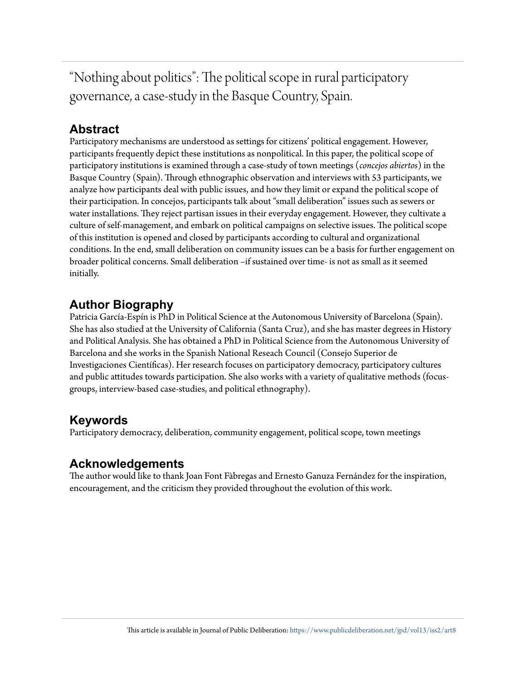"Nothing about politics": The political scope in rural participatory governance, a case-study in the Basque Country, Spain.

# **Abstract**

Participatory mechanisms are understood as settings for citizens' political engagement. However, participants frequently depict these institutions as nonpolitical. In this paper, the political scope of participatory institutions is examined through a case-study of town meetings (*concejos abiertos*) in the Basque Country (Spain). Through ethnographic observation and interviews with 53 participants, we analyze how participants deal with public issues, and how they limit or expand the political scope of their participation. In concejos, participants talk about "small deliberation" issues such as sewers or water installations. They reject partisan issues in their everyday engagement. However, they cultivate a culture of self-management, and embark on political campaigns on selective issues. The political scope of this institution is opened and closed by participants according to cultural and organizational conditions. In the end, small deliberation on community issues can be a basis for further engagement on broader political concerns. Small deliberation –if sustained over time- is not as small as it seemed initially.

# **Author Biography**

Patricia García-Espín is PhD in Political Science at the Autonomous University of Barcelona (Spain). She has also studied at the University of California (Santa Cruz), and she has master degrees in History and Political Analysis. She has obtained a PhD in Political Science from the Autonomous University of Barcelona and she works in the Spanish National Reseach Council (Consejo Superior de Investigaciones Científicas). Her research focuses on participatory democracy, participatory cultures and public attitudes towards participation. She also works with a variety of qualitative methods (focusgroups, interview-based case-studies, and political ethnography).

# **Keywords**

Participatory democracy, deliberation, community engagement, political scope, town meetings

# **Acknowledgements**

The author would like to thank Joan Font Fàbregas and Ernesto Ganuza Fernández for the inspiration, encouragement, and the criticism they provided throughout the evolution of this work.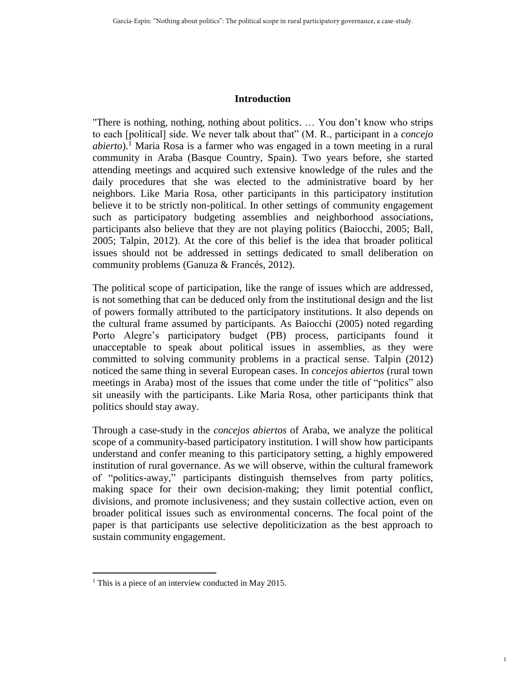#### **Introduction**

"There is nothing, nothing, nothing about politics. … You don't know who strips to each [political] side. We never talk about that" (M. R., participant in a *concejo abierto*).<sup>1</sup> Maria Rosa is a farmer who was engaged in a town meeting in a rural community in Araba (Basque Country, Spain). Two years before, she started attending meetings and acquired such extensive knowledge of the rules and the daily procedures that she was elected to the administrative board by her neighbors. Like Maria Rosa, other participants in this participatory institution believe it to be strictly non-political. In other settings of community engagement such as participatory budgeting assemblies and neighborhood associations, participants also believe that they are not playing politics (Baiocchi, 2005; Ball, 2005; Talpin, 2012). At the core of this belief is the idea that broader political issues should not be addressed in settings dedicated to small deliberation on community problems (Ganuza & Francés, 2012).

The political scope of participation, like the range of issues which are addressed, is not something that can be deduced only from the institutional design and the list of powers formally attributed to the participatory institutions. It also depends on the cultural frame assumed by participants. As Baiocchi (2005) noted regarding Porto Alegre's participatory budget (PB) process, participants found it unacceptable to speak about political issues in assemblies, as they were committed to solving community problems in a practical sense. Talpin (2012) noticed the same thing in several European cases. In *concejos abiertos* (rural town meetings in Araba) most of the issues that come under the title of "politics" also sit uneasily with the participants. Like Maria Rosa, other participants think that politics should stay away.

Through a case-study in the *concejos abiertos* of Araba, we analyze the political scope of a community-based participatory institution. I will show how participants understand and confer meaning to this participatory setting, a highly empowered institution of rural governance. As we will observe, within the cultural framework of "politics-away," participants distinguish themselves from party politics, making space for their own decision-making; they limit potential conflict, divisions, and promote inclusiveness; and they sustain collective action, even on broader political issues such as environmental concerns. The focal point of the paper is that participants use selective depoliticization as the best approach to sustain community engagement.

1

 $<sup>1</sup>$  This is a piece of an interview conducted in May 2015.</sup>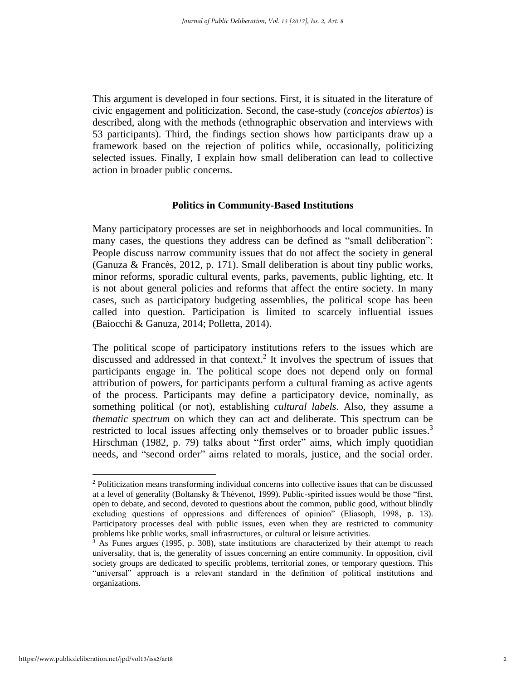This argument is developed in four sections. First, it is situated in the literature of civic engagement and politicization. Second, the case-study (*concejos abiertos*) is described, along with the methods (ethnographic observation and interviews with 53 participants). Third, the findings section shows how participants draw up a framework based on the rejection of politics while, occasionally, politicizing selected issues. Finally, I explain how small deliberation can lead to collective action in broader public concerns.

## **Politics in Community-Based Institutions**

Many participatory processes are set in neighborhoods and local communities. In many cases, the questions they address can be defined as "small deliberation": People discuss narrow community issues that do not affect the society in general (Ganuza & Francès, 2012, p. 171). Small deliberation is about tiny public works, minor reforms, sporadic cultural events, parks, pavements, public lighting, etc. It is not about general policies and reforms that affect the entire society. In many cases, such as participatory budgeting assemblies, the political scope has been called into question. Participation is limited to scarcely influential issues (Baiocchi & Ganuza, 2014; Polletta, 2014).

The political scope of participatory institutions refers to the issues which are discussed and addressed in that context. 2 It involves the spectrum of issues that participants engage in. The political scope does not depend only on formal attribution of powers, for participants perform a cultural framing as active agents of the process. Participants may define a participatory device, nominally, as something political (or not), establishing *cultural labels*. Also, they assume a *thematic spectrum* on which they can act and deliberate. This spectrum can be restricted to local issues affecting only themselves or to broader public issues.<sup>3</sup> Hirschman (1982, p. 79) talks about "first order" aims, which imply quotidian needs, and "second order" aims related to morals, justice, and the social order.

<sup>&</sup>lt;sup>2</sup> Politicization means transforming individual concerns into collective issues that can be discussed at a level of generality (Boltansky & Thèvenot, 1999). Public-spirited issues would be those "first, open to debate, and second, devoted to questions about the common, public good, without blindly excluding questions of oppressions and differences of opinion" (Eliasoph, 1998, p. 13). Participatory processes deal with public issues, even when they are restricted to community problems like public works, small infrastructures, or cultural or leisure activities.

 $3$  As Funes argues (1995, p. 308), state institutions are characterized by their attempt to reach universality, that is, the generality of issues concerning an entire community. In opposition, civil society groups are dedicated to specific problems, territorial zones, or temporary questions. This "universal" approach is a relevant standard in the definition of political institutions and organizations.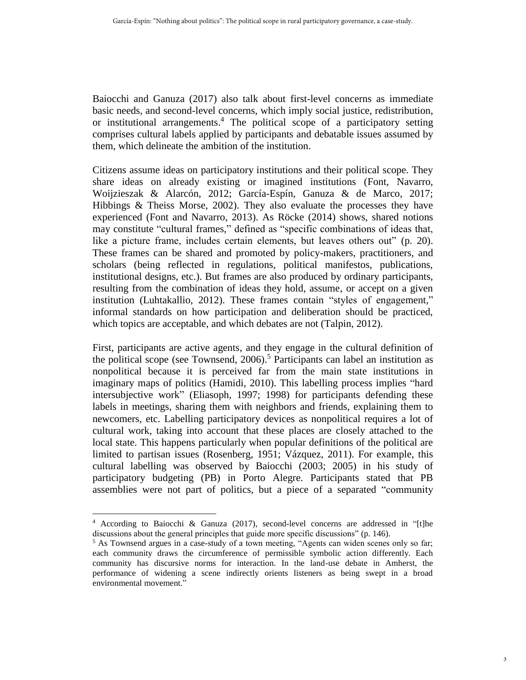Baiocchi and Ganuza (2017) also talk about first-level concerns as immediate basic needs, and second-level concerns, which imply social justice, redistribution, or institutional arrangements. <sup>4</sup> The political scope of a participatory setting comprises cultural labels applied by participants and debatable issues assumed by them, which delineate the ambition of the institution.

Citizens assume ideas on participatory institutions and their political scope. They share ideas on already existing or imagined institutions (Font, Navarro, Woijzieszak & Alarcón, 2012; García-Espín, Ganuza & de Marco, 2017; Hibbings & Theiss Morse, 2002). They also evaluate the processes they have experienced (Font and Navarro, 2013). As Röcke (2014) shows, shared notions may constitute "cultural frames," defined as "specific combinations of ideas that, like a picture frame, includes certain elements, but leaves others out" (p. 20). These frames can be shared and promoted by policy-makers, practitioners, and scholars (being reflected in regulations, political manifestos, publications, institutional designs, etc.). But frames are also produced by ordinary participants, resulting from the combination of ideas they hold, assume, or accept on a given institution (Luhtakallio, 2012). These frames contain "styles of engagement," informal standards on how participation and deliberation should be practiced, which topics are acceptable, and which debates are not (Talpin, 2012).

First, participants are active agents, and they engage in the cultural definition of the political scope (see Townsend, 2006). <sup>5</sup> Participants can label an institution as nonpolitical because it is perceived far from the main state institutions in imaginary maps of politics (Hamidi, 2010). This labelling process implies "hard intersubjective work" (Eliasoph, 1997; 1998) for participants defending these labels in meetings, sharing them with neighbors and friends, explaining them to newcomers, etc. Labelling participatory devices as nonpolitical requires a lot of cultural work, taking into account that these places are closely attached to the local state. This happens particularly when popular definitions of the political are limited to partisan issues (Rosenberg, 1951; Vázquez, 2011). For example, this cultural labelling was observed by Baiocchi (2003; 2005) in his study of participatory budgeting (PB) in Porto Alegre. Participants stated that PB assemblies were not part of politics, but a piece of a separated "community

<sup>4</sup> According to Baiocchi & Ganuza (2017), second-level concerns are addressed in "[t]he discussions about the general principles that guide more specific discussions" (p. 146).

<sup>&</sup>lt;sup>5</sup> As Townsend argues in a case-study of a town meeting, "Agents can widen scenes only so far; each community draws the circumference of permissible symbolic action differently. Each community has discursive norms for interaction. In the land-use debate in Amherst, the performance of widening a scene indirectly orients listeners as being swept in a broad environmental movement."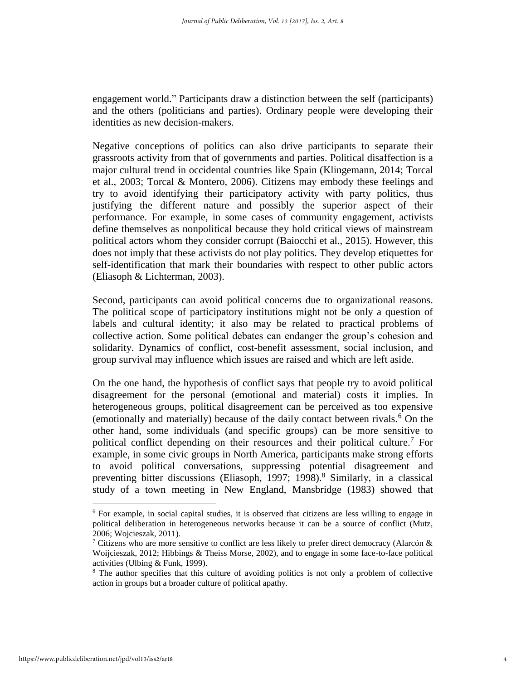engagement world." Participants draw a distinction between the self (participants) and the others (politicians and parties). Ordinary people were developing their identities as new decision-makers.

Negative conceptions of politics can also drive participants to separate their grassroots activity from that of governments and parties. Political disaffection is a major cultural trend in occidental countries like Spain (Klingemann, 2014; Torcal et al., 2003; Torcal & Montero, 2006). Citizens may embody these feelings and try to avoid identifying their participatory activity with party politics, thus justifying the different nature and possibly the superior aspect of their performance. For example, in some cases of community engagement, activists define themselves as nonpolitical because they hold critical views of mainstream political actors whom they consider corrupt (Baiocchi et al., 2015). However, this does not imply that these activists do not play politics. They develop etiquettes for self-identification that mark their boundaries with respect to other public actors (Eliasoph & Lichterman, 2003).

Second, participants can avoid political concerns due to organizational reasons. The political scope of participatory institutions might not be only a question of labels and cultural identity; it also may be related to practical problems of collective action. Some political debates can endanger the group's cohesion and solidarity. Dynamics of conflict, cost-benefit assessment, social inclusion, and group survival may influence which issues are raised and which are left aside.

On the one hand, the hypothesis of conflict says that people try to avoid political disagreement for the personal (emotional and material) costs it implies. In heterogeneous groups, political disagreement can be perceived as too expensive (emotionally and materially) because of the daily contact between rivals.<sup>6</sup> On the other hand, some individuals (and specific groups) can be more sensitive to political conflict depending on their resources and their political culture.<sup>7</sup> For example, in some civic groups in North America, participants make strong efforts to avoid political conversations, suppressing potential disagreement and preventing bitter discussions (Eliasoph, 1997; 1998). <sup>8</sup> Similarly, in a classical study of a town meeting in New England, Mansbridge (1983) showed that

<sup>6</sup> For example, in social capital studies, it is observed that citizens are less willing to engage in political deliberation in heterogeneous networks because it can be a source of conflict (Mutz, 2006; Wojcieszak, 2011).

<sup>&</sup>lt;sup>7</sup> Citizens who are more sensitive to conflict are less likely to prefer direct democracy (Alarcón & Woijcieszak, 2012; Hibbings & Theiss Morse, 2002), and to engage in some face-to-face political activities (Ulbing & Funk, 1999).

<sup>&</sup>lt;sup>8</sup> The author specifies that this culture of avoiding politics is not only a problem of collective action in groups but a broader culture of political apathy.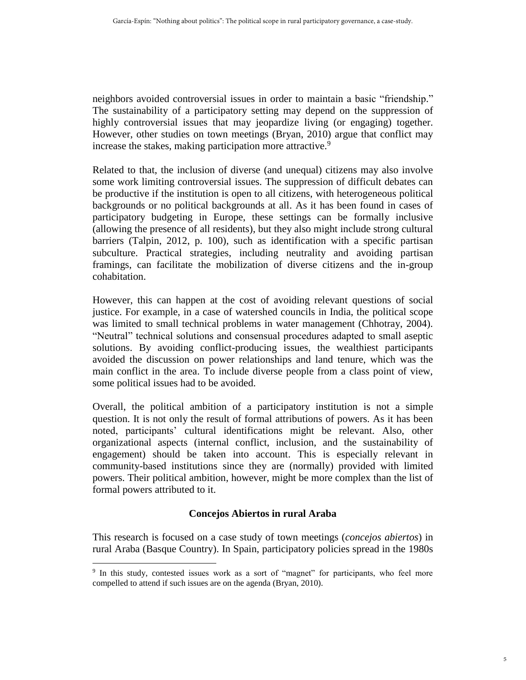neighbors avoided controversial issues in order to maintain a basic "friendship." The sustainability of a participatory setting may depend on the suppression of highly controversial issues that may jeopardize living (or engaging) together. However, other studies on town meetings (Bryan, 2010) argue that conflict may increase the stakes, making participation more attractive.<sup>9</sup>

Related to that, the inclusion of diverse (and unequal) citizens may also involve some work limiting controversial issues. The suppression of difficult debates can be productive if the institution is open to all citizens, with heterogeneous political backgrounds or no political backgrounds at all. As it has been found in cases of participatory budgeting in Europe, these settings can be formally inclusive (allowing the presence of all residents), but they also might include strong cultural barriers (Talpin, 2012, p. 100), such as identification with a specific partisan subculture. Practical strategies, including neutrality and avoiding partisan framings, can facilitate the mobilization of diverse citizens and the in-group cohabitation.

However, this can happen at the cost of avoiding relevant questions of social justice. For example, in a case of watershed councils in India, the political scope was limited to small technical problems in water management (Chhotray, 2004). "Neutral" technical solutions and consensual procedures adapted to small aseptic solutions. By avoiding conflict-producing issues, the wealthiest participants avoided the discussion on power relationships and land tenure, which was the main conflict in the area. To include diverse people from a class point of view, some political issues had to be avoided.

Overall, the political ambition of a participatory institution is not a simple question. It is not only the result of formal attributions of powers. As it has been noted, participants' cultural identifications might be relevant. Also, other organizational aspects (internal conflict, inclusion, and the sustainability of engagement) should be taken into account. This is especially relevant in community-based institutions since they are (normally) provided with limited powers. Their political ambition, however, might be more complex than the list of formal powers attributed to it.

## **Concejos Abiertos in rural Araba**

This research is focused on a case study of town meetings (*concejos abiertos*) in rural Araba (Basque Country). In Spain, participatory policies spread in the 1980s

 $\overline{a}$ 9 In this study, contested issues work as a sort of "magnet" for participants, who feel more compelled to attend if such issues are on the agenda (Bryan, 2010).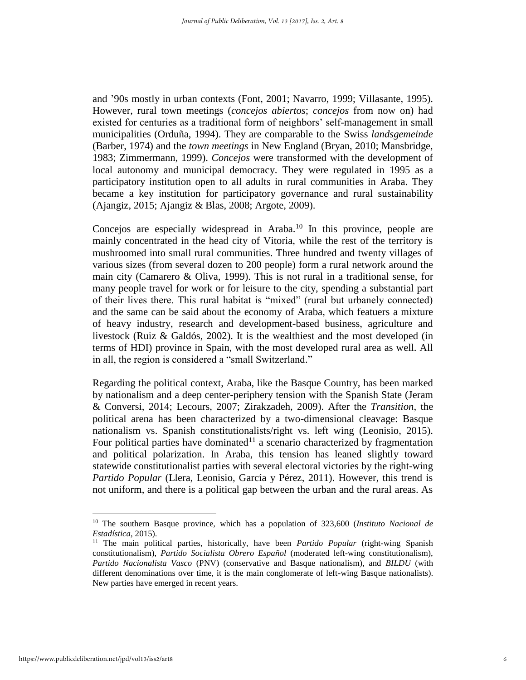and '90s mostly in urban contexts (Font, 2001; Navarro, 1999; Villasante, 1995). However, rural town meetings (*concejos abiertos*; *concejos* from now on) had existed for centuries as a traditional form of neighbors' self-management in small municipalities (Orduña, 1994). They are comparable to the Swiss *landsgemeinde* (Barber, 1974) and the *town meetings* in New England (Bryan, 2010; Mansbridge, 1983; Zimmermann, 1999). *Concejos* were transformed with the development of local autonomy and municipal democracy. They were regulated in 1995 as a participatory institution open to all adults in rural communities in Araba. They became a key institution for participatory governance and rural sustainability (Ajangiz, 2015; Ajangiz & Blas, 2008; Argote, 2009).

Concejos are especially widespread in Araba. $10$  In this province, people are mainly concentrated in the head city of Vitoria, while the rest of the territory is mushroomed into small rural communities. Three hundred and twenty villages of various sizes (from several dozen to 200 people) form a rural network around the main city (Camarero & Oliva, 1999). This is not rural in a traditional sense, for many people travel for work or for leisure to the city, spending a substantial part of their lives there. This rural habitat is "mixed" (rural but urbanely connected) and the same can be said about the economy of Araba, which featuers a mixture of heavy industry, research and development-based business, agriculture and livestock (Ruiz & Galdós, 2002). It is the wealthiest and the most developed (in terms of HDI) province in Spain, with the most developed rural area as well. All in all, the region is considered a "small Switzerland."

Regarding the political context, Araba, like the Basque Country, has been marked by nationalism and a deep center-periphery tension with the Spanish State (Jeram & Conversi, 2014; Lecours, 2007; Zirakzadeh, 2009). After the *Transition*, the political arena has been characterized by a two-dimensional cleavage: Basque nationalism vs. Spanish constitutionalists/right vs. left wing (Leonisio, 2015). Four political parties have dominated<sup>11</sup> a scenario characterized by fragmentation and political polarization. In Araba, this tension has leaned slightly toward statewide constitutionalist parties with several electoral victories by the right-wing *Partido Popular* (Llera, Leonisio, García y Pérez, 2011). However, this trend is not uniform, and there is a political gap between the urban and the rural areas. As

<sup>10</sup> The southern Basque province, which has a population of 323,600 (*Instituto Nacional de Estadística*, 2015).

<sup>11</sup> The main political parties, historically, have been *Partido Popular* (right-wing Spanish constitutionalism), *Partido Socialista Obrero Español* (moderated left-wing constitutionalism), *Partido Nacionalista Vasco* (PNV) (conservative and Basque nationalism), and *BILDU* (with different denominations over time, it is the main conglomerate of left-wing Basque nationalists). New parties have emerged in recent years.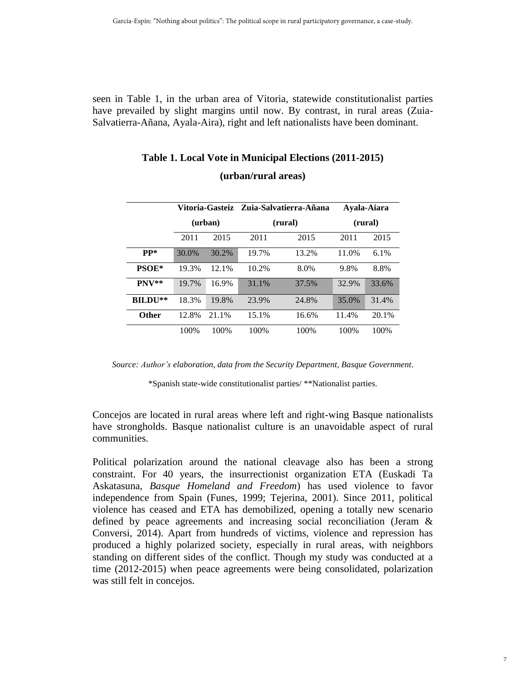seen in Table 1, in the urban area of Vitoria, statewide constitutionalist parties have prevailed by slight margins until now. By contrast, in rural areas (Zuia-Salvatierra-Añana, Ayala-Aira), right and left nationalists have been dominant.

|                     | Vitoria-Gasteiz<br>(urban) |       | - Zuia-Salvatierra-Añana<br>(rural) |       | Ayala-Aiara<br>(rural) |       |
|---------------------|----------------------------|-------|-------------------------------------|-------|------------------------|-------|
|                     |                            |       |                                     |       |                        |       |
|                     | 2011                       | 2015  | 2011                                | 2015  | 2011                   | 2015  |
| $PP*$               | 30.0%                      | 30.2% | 19.7%                               | 13.2% | 11.0%                  | 6.1%  |
| PSOE*               | 19.3%                      | 12.1% | 10.2%                               | 8.0%  | 9.8%                   | 8.8%  |
| $PNV**$             | 19.7%                      | 16.9% | 31.1%                               | 37.5% | 32.9%                  | 33.6% |
| BILDU <sup>**</sup> | 18.3%                      | 19.8% | 23.9%                               | 24.8% | 35.0%                  | 31.4% |
| <b>Other</b>        | 12.8%                      | 21.1% | 15.1%                               | 16.6% | 11.4%                  | 20.1% |
|                     | 100%                       | 100%  | 100%                                | 100%  | 100%                   | 100\% |

# **Table 1. Local Vote in Municipal Elections (2011-2015) (urban/rural areas)**

*Source: Author's elaboration, data from the Security Department, Basque Government*.

\*Spanish state-wide constitutionalist parties/ \*\*Nationalist parties.

Concejos are located in rural areas where left and right-wing Basque nationalists have strongholds. Basque nationalist culture is an unavoidable aspect of rural communities.

Political polarization around the national cleavage also has been a strong constraint. For 40 years, the insurrectionist organization ETA (Euskadi Ta Askatasuna, *Basque Homeland and Freedom*) has used violence to favor independence from Spain (Funes, 1999; Tejerina, 2001). Since 2011, political violence has ceased and ETA has demobilized, opening a totally new scenario defined by peace agreements and increasing social reconciliation (Jeram & Conversi, 2014). Apart from hundreds of victims, violence and repression has produced a highly polarized society, especially in rural areas, with neighbors standing on different sides of the conflict. Though my study was conducted at a time (2012-2015) when peace agreements were being consolidated, polarization was still felt in concejos.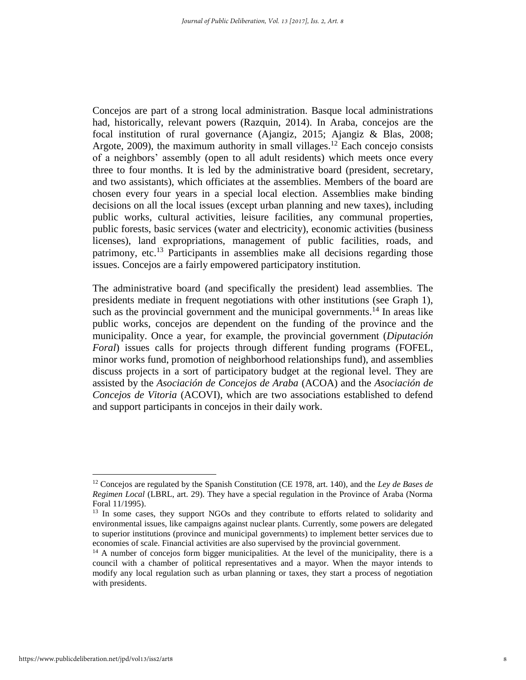Concejos are part of a strong local administration. Basque local administrations had, historically, relevant powers (Razquin, 2014). In Araba, concejos are the focal institution of rural governance (Ajangiz, 2015; Ajangiz & Blas, 2008; Argote, 2009), the maximum authority in small villages.<sup>12</sup> Each concejo consists of a neighbors' assembly (open to all adult residents) which meets once every three to four months. It is led by the administrative board (president, secretary, and two assistants), which officiates at the assemblies. Members of the board are chosen every four years in a special local election. Assemblies make binding decisions on all the local issues (except urban planning and new taxes), including public works, cultural activities, leisure facilities, any communal properties, public forests, basic services (water and electricity), economic activities (business licenses), land expropriations, management of public facilities, roads, and patrimony, etc.<sup>13</sup> Participants in assemblies make all decisions regarding those issues. Concejos are a fairly empowered participatory institution.

The administrative board (and specifically the president) lead assemblies. The presidents mediate in frequent negotiations with other institutions (see Graph 1), such as the provincial government and the municipal governments.<sup>14</sup> In areas like public works, concejos are dependent on the funding of the province and the municipality. Once a year, for example, the provincial government (*Diputación Foral*) issues calls for projects through different funding programs (FOFEL, minor works fund, promotion of neighborhood relationships fund), and assemblies discuss projects in a sort of participatory budget at the regional level. They are assisted by the *Asociación de Concejos de Araba* (ACOA) and the *Asociación de Concejos de Vitoria* (ACOVI), which are two associations established to defend and support participants in concejos in their daily work.

<sup>12</sup> Concejos are regulated by the Spanish Constitution (CE 1978, art. 140), and the *Ley de Bases de Regimen Local* (LBRL, art. 29). They have a special regulation in the Province of Araba (Norma Foral 11/1995).

<sup>&</sup>lt;sup>13</sup> In some cases, they support NGOs and they contribute to efforts related to solidarity and environmental issues, like campaigns against nuclear plants. Currently, some powers are delegated to superior institutions (province and municipal governments) to implement better services due to economies of scale. Financial activities are also supervised by the provincial government.

<sup>&</sup>lt;sup>14</sup> A number of concejos form bigger municipalities. At the level of the municipality, there is a council with a chamber of political representatives and a mayor. When the mayor intends to modify any local regulation such as urban planning or taxes, they start a process of negotiation with presidents.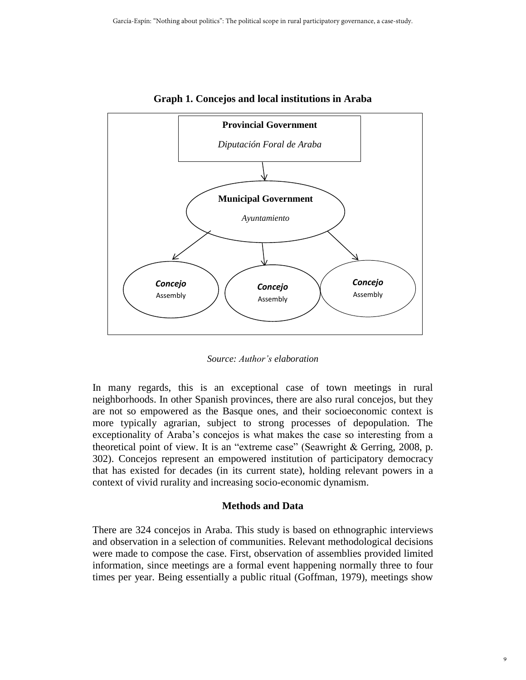

**Graph 1. Concejos and local institutions in Araba**

*Source: Author's elaboration*

In many regards, this is an exceptional case of town meetings in rural neighborhoods. In other Spanish provinces, there are also rural concejos, but they are not so empowered as the Basque ones, and their socioeconomic context is more typically agrarian, subject to strong processes of depopulation. The exceptionality of Araba's concejos is what makes the case so interesting from a theoretical point of view. It is an "extreme case" (Seawright & Gerring, 2008, p. 302). Concejos represent an empowered institution of participatory democracy that has existed for decades (in its current state), holding relevant powers in a context of vivid rurality and increasing socio-economic dynamism.

#### **Methods and Data**

There are 324 concejos in Araba. This study is based on ethnographic interviews and observation in a selection of communities. Relevant methodological decisions were made to compose the case. First, observation of assemblies provided limited information, since meetings are a formal event happening normally three to four times per year. Being essentially a public ritual (Goffman, 1979), meetings show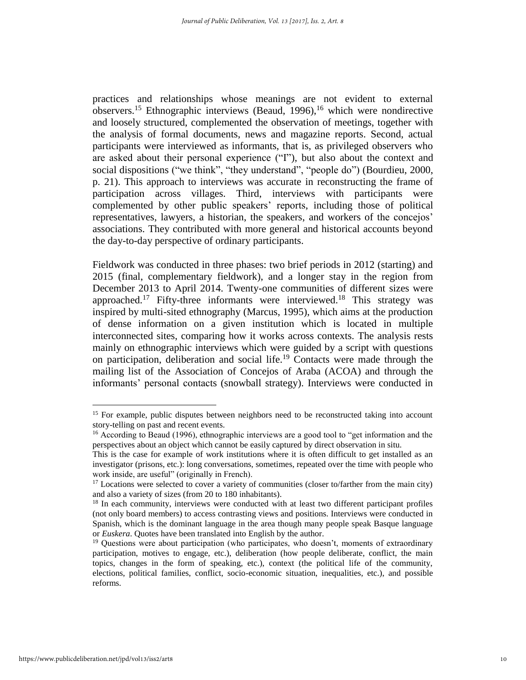practices and relationships whose meanings are not evident to external observers.<sup>15</sup> Ethnographic interviews (Beaud, 1996), <sup>16</sup> which were nondirective and loosely structured, complemented the observation of meetings, together with the analysis of formal documents, news and magazine reports. Second, actual participants were interviewed as informants, that is, as privileged observers who are asked about their personal experience ("I"), but also about the context and social dispositions ("we think", "they understand", "people do") (Bourdieu, 2000, p. 21). This approach to interviews was accurate in reconstructing the frame of participation across villages. Third, interviews with participants were complemented by other public speakers' reports, including those of political representatives, lawyers, a historian, the speakers, and workers of the concejos' associations. They contributed with more general and historical accounts beyond the day-to-day perspective of ordinary participants.

Fieldwork was conducted in three phases: two brief periods in 2012 (starting) and 2015 (final, complementary fieldwork), and a longer stay in the region from December 2013 to April 2014. Twenty-one communities of different sizes were approached.<sup>17</sup> Fifty-three informants were interviewed.<sup>18</sup> This strategy was inspired by multi-sited ethnography (Marcus, 1995), which aims at the production of dense information on a given institution which is located in multiple interconnected sites, comparing how it works across contexts. The analysis rests mainly on ethnographic interviews which were guided by a script with questions on participation, deliberation and social life.<sup>19</sup> Contacts were made through the mailing list of the Association of Concejos of Araba (ACOA) and through the informants' personal contacts (snowball strategy). Interviews were conducted in

 $\ddot{\phantom{a}}$ 

<sup>&</sup>lt;sup>15</sup> For example, public disputes between neighbors need to be reconstructed taking into account story-telling on past and recent events.

<sup>&</sup>lt;sup>16</sup> According to Beaud (1996), ethnographic interviews are a good tool to "get information and the perspectives about an object which cannot be easily captured by direct observation in situ.

This is the case for example of work institutions where it is often difficult to get installed as an investigator (prisons, etc.): long conversations, sometimes, repeated over the time with people who work inside, are useful" (originally in French).

<sup>&</sup>lt;sup>17</sup> Locations were selected to cover a variety of communities (closer to/farther from the main city) and also a variety of sizes (from 20 to 180 inhabitants).

<sup>&</sup>lt;sup>18</sup> In each community, interviews were conducted with at least two different participant profiles (not only board members) to access contrasting views and positions. Interviews were conducted in Spanish, which is the dominant language in the area though many people speak Basque language or *Euskera*. Quotes have been translated into English by the author.

 $19$  Questions were about participation (who participates, who doesn't, moments of extraordinary participation, motives to engage, etc.), deliberation (how people deliberate, conflict, the main topics, changes in the form of speaking, etc.), context (the political life of the community, elections, political families, conflict, socio-economic situation, inequalities, etc.), and possible reforms.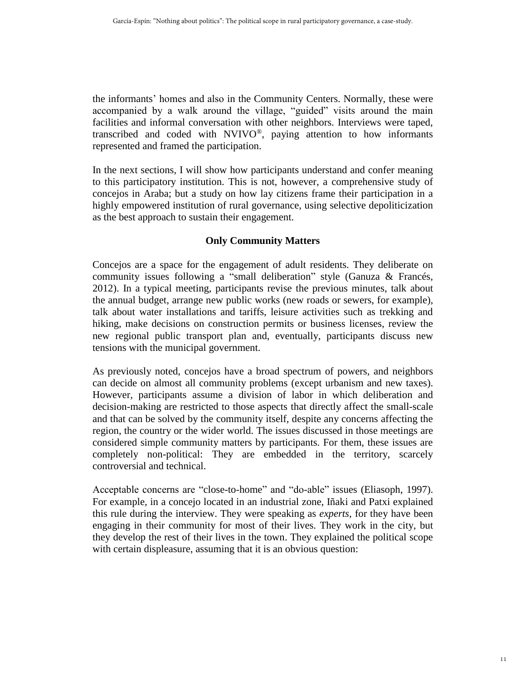the informants' homes and also in the Community Centers. Normally, these were accompanied by a walk around the village, "guided" visits around the main facilities and informal conversation with other neighbors. Interviews were taped, transcribed and coded with NVIVO®, paying attention to how informants represented and framed the participation.

In the next sections, I will show how participants understand and confer meaning to this participatory institution. This is not, however, a comprehensive study of concejos in Araba; but a study on how lay citizens frame their participation in a highly empowered institution of rural governance, using selective depoliticization as the best approach to sustain their engagement.

## **Only Community Matters**

Concejos are a space for the engagement of adult residents. They deliberate on community issues following a "small deliberation" style (Ganuza & Francés, 2012). In a typical meeting, participants revise the previous minutes, talk about the annual budget, arrange new public works (new roads or sewers, for example), talk about water installations and tariffs, leisure activities such as trekking and hiking, make decisions on construction permits or business licenses, review the new regional public transport plan and, eventually, participants discuss new tensions with the municipal government.

As previously noted, concejos have a broad spectrum of powers, and neighbors can decide on almost all community problems (except urbanism and new taxes). However, participants assume a division of labor in which deliberation and decision-making are restricted to those aspects that directly affect the small-scale and that can be solved by the community itself, despite any concerns affecting the region, the country or the wider world. The issues discussed in those meetings are considered simple community matters by participants. For them, these issues are completely non-political: They are embedded in the territory, scarcely controversial and technical.

Acceptable concerns are "close-to-home" and "do-able" issues (Eliasoph, 1997). For example, in a concejo located in an industrial zone, Iñaki and Patxi explained this rule during the interview. They were speaking as *experts*, for they have been engaging in their community for most of their lives. They work in the city, but they develop the rest of their lives in the town. They explained the political scope with certain displeasure, assuming that it is an obvious question: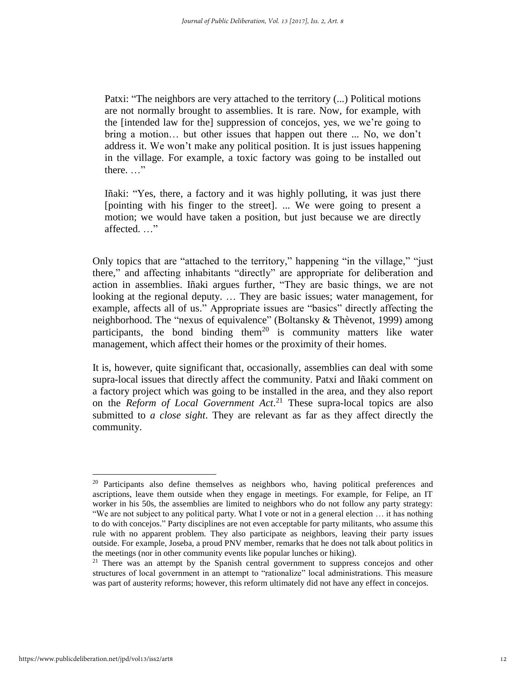Patxi: "The neighbors are very attached to the territory (...) Political motions are not normally brought to assemblies. It is rare. Now, for example, with the [intended law for the] suppression of concejos, yes, we we're going to bring a motion… but other issues that happen out there ... No, we don't address it. We won't make any political position. It is just issues happening in the village. For example, a toxic factory was going to be installed out there. …"

Iñaki: "Yes, there, a factory and it was highly polluting, it was just there [pointing with his finger to the street]. ... We were going to present a motion; we would have taken a position, but just because we are directly affected. …"

Only topics that are "attached to the territory," happening "in the village," "just there," and affecting inhabitants "directly" are appropriate for deliberation and action in assemblies. Iñaki argues further, "They are basic things, we are not looking at the regional deputy. … They are basic issues; water management, for example, affects all of us." Appropriate issues are "basics" directly affecting the neighborhood. The "nexus of equivalence" (Boltansky & Thèvenot, 1999) among participants, the bond binding them<sup>20</sup> is community matters like water management, which affect their homes or the proximity of their homes.

It is, however, quite significant that, occasionally, assemblies can deal with some supra-local issues that directly affect the community. Patxi and Iñaki comment on a factory project which was going to be installed in the area, and they also report on the *Reform of Local Government Act*. <sup>21</sup> These supra-local topics are also submitted to *a close sight*. They are relevant as far as they affect directly the community.

 $20$  Participants also define themselves as neighbors who, having political preferences and ascriptions, leave them outside when they engage in meetings. For example, for Felipe, an IT worker in his 50s, the assemblies are limited to neighbors who do not follow any party strategy: "We are not subject to any political party. What I vote or not in a general election … it has nothing to do with concejos." Party disciplines are not even acceptable for party militants, who assume this rule with no apparent problem. They also participate as neighbors, leaving their party issues outside. For example, Joseba, a proud PNV member, remarks that he does not talk about politics in the meetings (nor in other community events like popular lunches or hiking).

 $21$  There was an attempt by the Spanish central government to suppress concejos and other structures of local government in an attempt to "rationalize" local administrations. This measure was part of austerity reforms; however, this reform ultimately did not have any effect in concejos.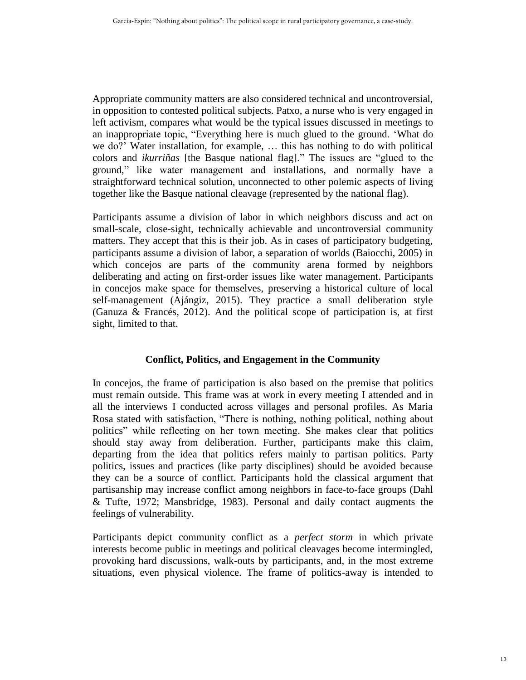Appropriate community matters are also considered technical and uncontroversial, in opposition to contested political subjects. Patxo, a nurse who is very engaged in left activism, compares what would be the typical issues discussed in meetings to an inappropriate topic, "Everything here is much glued to the ground. 'What do we do?' Water installation, for example, … this has nothing to do with political colors and *ikurriñas* [the Basque national flag]." The issues are "glued to the ground," like water management and installations, and normally have a straightforward technical solution, unconnected to other polemic aspects of living together like the Basque national cleavage (represented by the national flag).

Participants assume a division of labor in which neighbors discuss and act on small-scale, close-sight, technically achievable and uncontroversial community matters. They accept that this is their job. As in cases of participatory budgeting, participants assume a division of labor, a separation of worlds (Baiocchi, 2005) in which concejos are parts of the community arena formed by neighbors deliberating and acting on first-order issues like water management. Participants in concejos make space for themselves, preserving a historical culture of local self-management (Ajángiz, 2015). They practice a small deliberation style (Ganuza & Francés, 2012). And the political scope of participation is, at first sight, limited to that.

## **Conflict, Politics, and Engagement in the Community**

In concejos, the frame of participation is also based on the premise that politics must remain outside. This frame was at work in every meeting I attended and in all the interviews I conducted across villages and personal profiles. As Maria Rosa stated with satisfaction, "There is nothing, nothing political, nothing about politics" while reflecting on her town meeting. She makes clear that politics should stay away from deliberation. Further, participants make this claim, departing from the idea that politics refers mainly to partisan politics. Party politics, issues and practices (like party disciplines) should be avoided because they can be a source of conflict. Participants hold the classical argument that partisanship may increase conflict among neighbors in face-to-face groups (Dahl & Tufte, 1972; Mansbridge, 1983). Personal and daily contact augments the feelings of vulnerability.

Participants depict community conflict as a *perfect storm* in which private interests become public in meetings and political cleavages become intermingled, provoking hard discussions, walk-outs by participants, and, in the most extreme situations, even physical violence. The frame of politics-away is intended to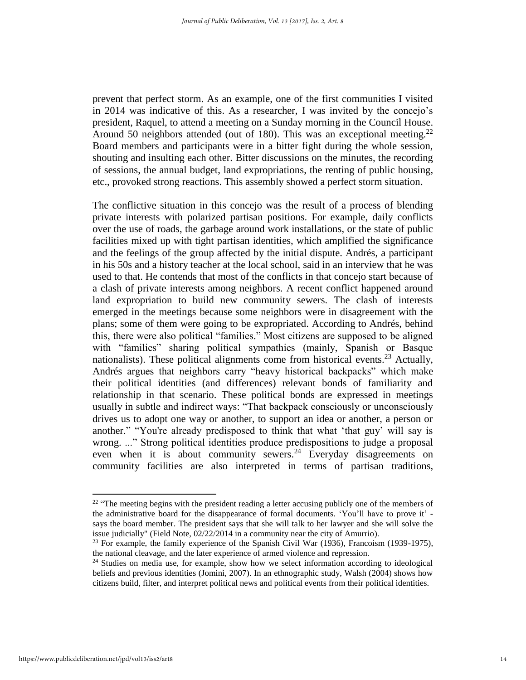prevent that perfect storm. As an example, one of the first communities I visited in 2014 was indicative of this. As a researcher, I was invited by the concejo's president, Raquel, to attend a meeting on a Sunday morning in the Council House. Around 50 neighbors attended (out of 180). This was an exceptional meeting.<sup>22</sup> Board members and participants were in a bitter fight during the whole session, shouting and insulting each other. Bitter discussions on the minutes, the recording of sessions, the annual budget, land expropriations, the renting of public housing, etc., provoked strong reactions. This assembly showed a perfect storm situation.

The conflictive situation in this concejo was the result of a process of blending private interests with polarized partisan positions. For example, daily conflicts over the use of roads, the garbage around work installations, or the state of public facilities mixed up with tight partisan identities, which amplified the significance and the feelings of the group affected by the initial dispute. Andrés, a participant in his 50s and a history teacher at the local school, said in an interview that he was used to that. He contends that most of the conflicts in that concejo start because of a clash of private interests among neighbors. A recent conflict happened around land expropriation to build new community sewers. The clash of interests emerged in the meetings because some neighbors were in disagreement with the plans; some of them were going to be expropriated. According to Andrés, behind this, there were also political "families." Most citizens are supposed to be aligned with "families" sharing political sympathies (mainly, Spanish or Basque nationalists). These political alignments come from historical events.<sup>23</sup> Actually, Andrés argues that neighbors carry "heavy historical backpacks" which make their political identities (and differences) relevant bonds of familiarity and relationship in that scenario. These political bonds are expressed in meetings usually in subtle and indirect ways: "That backpack consciously or unconsciously drives us to adopt one way or another, to support an idea or another, a person or another." "You're already predisposed to think that what 'that guy' will say is wrong. ..." Strong political identities produce predispositions to judge a proposal even when it is about community sewers.<sup>24</sup> Everyday disagreements on community facilities are also interpreted in terms of partisan traditions,

 $22 \cdot$  "The meeting begins with the president reading a letter accusing publicly one of the members of the administrative board for the disappearance of formal documents. 'You'll have to prove it' says the board member. The president says that she will talk to her lawyer and she will solve the issue judicially" (Field Note, 02/22/2014 in a community near the city of Amurrio).

<sup>&</sup>lt;sup>23</sup> For example, the family experience of the Spanish Civil War (1936), Francoism (1939-1975), the national cleavage, and the later experience of armed violence and repression.

 $24$  Studies on media use, for example, show how we select information according to ideological beliefs and previous identities (Jomini, 2007). In an ethnographic study, Walsh (2004) shows how citizens build, filter, and interpret political news and political events from their political identities.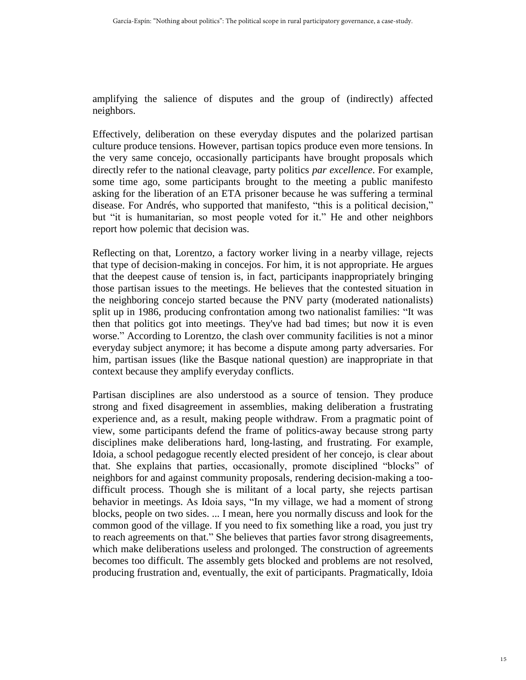amplifying the salience of disputes and the group of (indirectly) affected neighbors.

Effectively, deliberation on these everyday disputes and the polarized partisan culture produce tensions. However, partisan topics produce even more tensions. In the very same concejo, occasionally participants have brought proposals which directly refer to the national cleavage, party politics *par excellence*. For example, some time ago, some participants brought to the meeting a public manifesto asking for the liberation of an ETA prisoner because he was suffering a terminal disease. For Andrés, who supported that manifesto, "this is a political decision," but "it is humanitarian, so most people voted for it." He and other neighbors report how polemic that decision was.

Reflecting on that, Lorentzo, a factory worker living in a nearby village, rejects that type of decision-making in concejos. For him, it is not appropriate. He argues that the deepest cause of tension is, in fact, participants inappropriately bringing those partisan issues to the meetings. He believes that the contested situation in the neighboring concejo started because the PNV party (moderated nationalists) split up in 1986, producing confrontation among two nationalist families: "It was then that politics got into meetings. They've had bad times; but now it is even worse." According to Lorentzo, the clash over community facilities is not a minor everyday subject anymore; it has become a dispute among party adversaries. For him, partisan issues (like the Basque national question) are inappropriate in that context because they amplify everyday conflicts.

Partisan disciplines are also understood as a source of tension. They produce strong and fixed disagreement in assemblies, making deliberation a frustrating experience and, as a result, making people withdraw. From a pragmatic point of view, some participants defend the frame of politics-away because strong party disciplines make deliberations hard, long-lasting, and frustrating. For example, Idoia, a school pedagogue recently elected president of her concejo, is clear about that. She explains that parties, occasionally, promote disciplined "blocks" of neighbors for and against community proposals, rendering decision-making a toodifficult process. Though she is militant of a local party, she rejects partisan behavior in meetings. As Idoia says, "In my village, we had a moment of strong blocks, people on two sides. ... I mean, here you normally discuss and look for the common good of the village. If you need to fix something like a road, you just try to reach agreements on that." She believes that parties favor strong disagreements, which make deliberations useless and prolonged. The construction of agreements becomes too difficult. The assembly gets blocked and problems are not resolved, producing frustration and, eventually, the exit of participants. Pragmatically, Idoia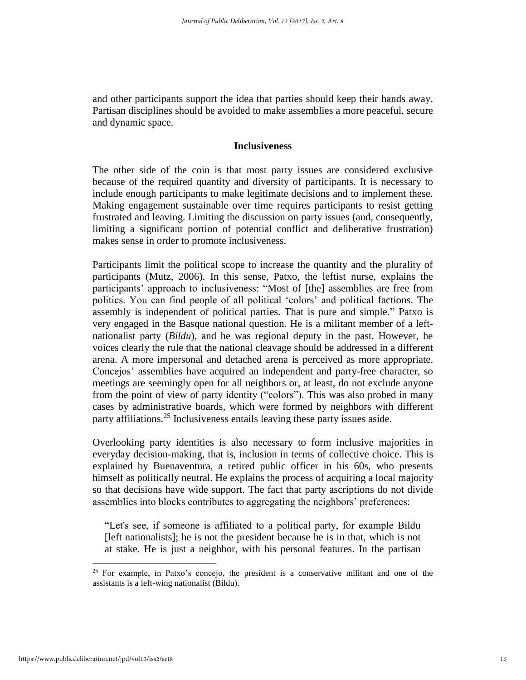and other participants support the idea that parties should keep their hands away. Partisan disciplines should be avoided to make assemblies a more peaceful, secure and dynamic space.

#### **Inclusiveness**

The other side of the coin is that most party issues are considered exclusive because of the required quantity and diversity of participants. It is necessary to include enough participants to make legitimate decisions and to implement these. Making engagement sustainable over time requires participants to resist getting frustrated and leaving. Limiting the discussion on party issues (and, consequently, limiting a significant portion of potential conflict and deliberative frustration) makes sense in order to promote inclusiveness.

Participants limit the political scope to increase the quantity and the plurality of participants (Mutz, 2006). In this sense, Patxo, the leftist nurse, explains the participants' approach to inclusiveness: "Most of [the] assemblies are free from politics. You can find people of all political 'colors' and political factions. The assembly is independent of political parties. That is pure and simple." Patxo is very engaged in the Basque national question. He is a militant member of a leftnationalist party (*Bildu*), and he was regional deputy in the past. However, he voices clearly the rule that the national cleavage should be addressed in a different arena. A more impersonal and detached arena is perceived as more appropriate. Concejos' assemblies have acquired an independent and party-free character, so meetings are seemingly open for all neighbors or, at least, do not exclude anyone from the point of view of party identity ("colors"). This was also probed in many cases by administrative boards, which were formed by neighbors with different party affiliations.<sup>25</sup> Inclusiveness entails leaving these party issues aside.

Overlooking party identities is also necessary to form inclusive majorities in everyday decision-making, that is, inclusion in terms of collective choice. This is explained by Buenaventura, a retired public officer in his 60s, who presents himself as politically neutral. He explains the process of acquiring a local majority so that decisions have wide support. The fact that party ascriptions do not divide assemblies into blocks contributes to aggregating the neighbors' preferences:

"Let's see, if someone is affiliated to a political party, for example Bildu [left nationalists]; he is not the president because he is in that, which is not at stake. He is just a neighbor, with his personal features. In the partisan

<sup>&</sup>lt;sup>25</sup> For example, in Patxo's concejo, the president is a conservative militant and one of the assistants is a left-wing nationalist (Bildu).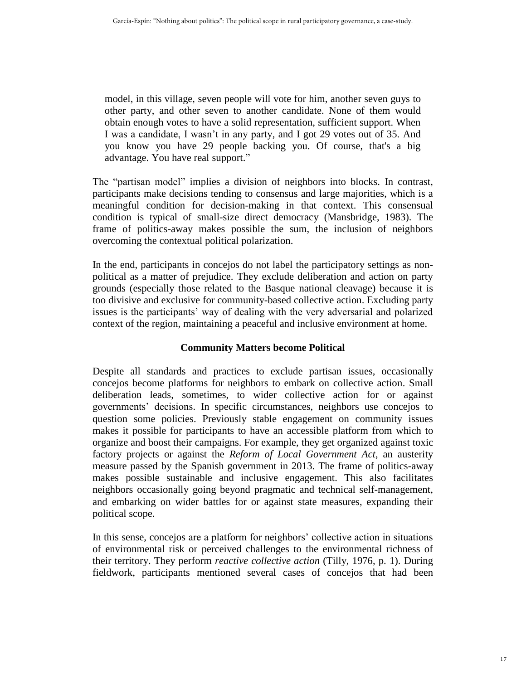model, in this village, seven people will vote for him, another seven guys to other party, and other seven to another candidate. None of them would obtain enough votes to have a solid representation, sufficient support. When I was a candidate, I wasn't in any party, and I got 29 votes out of 35. And you know you have 29 people backing you. Of course, that's a big advantage. You have real support."

The "partisan model" implies a division of neighbors into blocks. In contrast, participants make decisions tending to consensus and large majorities, which is a meaningful condition for decision-making in that context. This consensual condition is typical of small-size direct democracy (Mansbridge, 1983). The frame of politics-away makes possible the sum, the inclusion of neighbors overcoming the contextual political polarization.

In the end, participants in concejos do not label the participatory settings as nonpolitical as a matter of prejudice. They exclude deliberation and action on party grounds (especially those related to the Basque national cleavage) because it is too divisive and exclusive for community-based collective action. Excluding party issues is the participants' way of dealing with the very adversarial and polarized context of the region, maintaining a peaceful and inclusive environment at home.

## **Community Matters become Political**

Despite all standards and practices to exclude partisan issues, occasionally concejos become platforms for neighbors to embark on collective action. Small deliberation leads, sometimes, to wider collective action for or against governments' decisions. In specific circumstances, neighbors use concejos to question some policies. Previously stable engagement on community issues makes it possible for participants to have an accessible platform from which to organize and boost their campaigns. For example, they get organized against toxic factory projects or against the *Reform of Local Government Act*, an austerity measure passed by the Spanish government in 2013. The frame of politics-away makes possible sustainable and inclusive engagement. This also facilitates neighbors occasionally going beyond pragmatic and technical self-management, and embarking on wider battles for or against state measures, expanding their political scope.

In this sense, concejos are a platform for neighbors' collective action in situations of environmental risk or perceived challenges to the environmental richness of their territory. They perform *reactive collective action* (Tilly, 1976, p. 1). During fieldwork, participants mentioned several cases of concejos that had been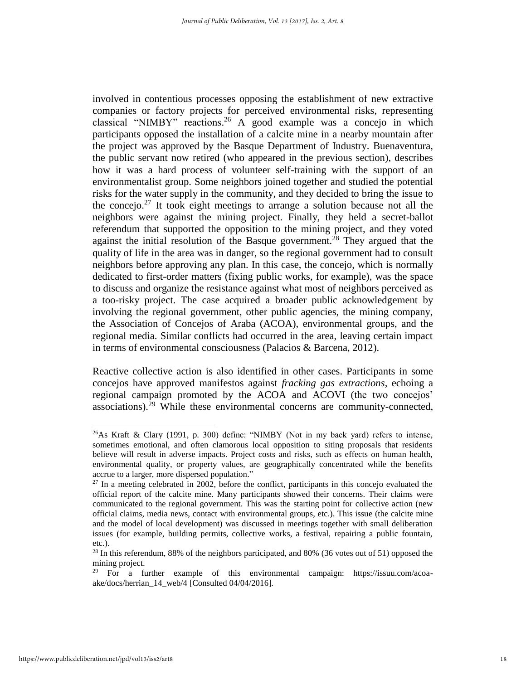involved in contentious processes opposing the establishment of new extractive companies or factory projects for perceived environmental risks, representing classical "NIMBY" reactions. <sup>26</sup> A good example was a concejo in which participants opposed the installation of a calcite mine in a nearby mountain after the project was approved by the Basque Department of Industry. Buenaventura, the public servant now retired (who appeared in the previous section), describes how it was a hard process of volunteer self-training with the support of an environmentalist group. Some neighbors joined together and studied the potential risks for the water supply in the community, and they decided to bring the issue to the concejo.<sup>27</sup> It took eight meetings to arrange a solution because not all the neighbors were against the mining project. Finally, they held a secret-ballot referendum that supported the opposition to the mining project, and they voted against the initial resolution of the Basque government.<sup>28</sup> They argued that the quality of life in the area was in danger, so the regional government had to consult neighbors before approving any plan. In this case, the concejo, which is normally dedicated to first-order matters (fixing public works, for example), was the space to discuss and organize the resistance against what most of neighbors perceived as a too-risky project. The case acquired a broader public acknowledgement by involving the regional government, other public agencies, the mining company, the Association of Concejos of Araba (ACOA), environmental groups, and the regional media. Similar conflicts had occurred in the area, leaving certain impact in terms of environmental consciousness (Palacios & Barcena, 2012).

Reactive collective action is also identified in other cases. Participants in some concejos have approved manifestos against *fracking gas extractions*, echoing a regional campaign promoted by the ACOA and ACOVI (the two concejos' associations).<sup>29</sup> While these environmental concerns are community-connected,

 $^{26}$ As Kraft & Clary (1991, p. 300) define: "NIMBY (Not in my back yard) refers to intense, sometimes emotional, and often clamorous local opposition to siting proposals that residents believe will result in adverse impacts. Project costs and risks, such as effects on human health, environmental quality, or property values, are geographically concentrated while the benefits accrue to a larger, more dispersed population."

 $27$  In a meeting celebrated in 2002, before the conflict, participants in this concejo evaluated the official report of the calcite mine. Many participants showed their concerns. Their claims were communicated to the regional government. This was the starting point for collective action (new official claims, media news, contact with environmental groups, etc.). This issue (the calcite mine and the model of local development) was discussed in meetings together with small deliberation issues (for example, building permits, collective works, a festival, repairing a public fountain, etc.).

<sup>&</sup>lt;sup>28</sup> In this referendum, 88% of the neighbors participated, and 80% (36 votes out of 51) opposed the mining project.

<sup>29</sup> For a further example of this environmental campaign: https://issuu.com/acoaake/docs/herrian\_14\_web/4 [Consulted 04/04/2016].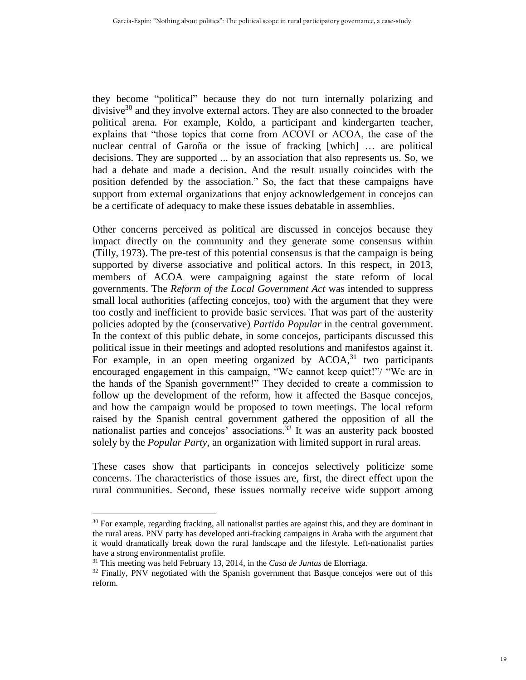they become "political" because they do not turn internally polarizing and divisive $30$  and they involve external actors. They are also connected to the broader political arena. For example, Koldo, a participant and kindergarten teacher, explains that "those topics that come from ACOVI or ACOA, the case of the nuclear central of Garoña or the issue of fracking [which] … are political decisions. They are supported ... by an association that also represents us. So, we had a debate and made a decision. And the result usually coincides with the position defended by the association." So, the fact that these campaigns have support from external organizations that enjoy acknowledgement in concejos can be a certificate of adequacy to make these issues debatable in assemblies.

Other concerns perceived as political are discussed in concejos because they impact directly on the community and they generate some consensus within (Tilly, 1973). The pre-test of this potential consensus is that the campaign is being supported by diverse associative and political actors. In this respect, in 2013, members of ACOA were campaigning against the state reform of local governments. The *Reform of the Local Government Act* was intended to suppress small local authorities (affecting concejos, too) with the argument that they were too costly and inefficient to provide basic services. That was part of the austerity policies adopted by the (conservative) *Partido Popular* in the central government. In the context of this public debate, in some concejos, participants discussed this political issue in their meetings and adopted resolutions and manifestos against it. For example, in an open meeting organized by  $ACOA<sub>31</sub><sup>31</sup>$  two participants encouraged engagement in this campaign, "We cannot keep quiet!"/ "We are in the hands of the Spanish government!" They decided to create a commission to follow up the development of the reform, how it affected the Basque concejos, and how the campaign would be proposed to town meetings. The local reform raised by the Spanish central government gathered the opposition of all the nationalist parties and concejos' associations.<sup>32</sup> It was an austerity pack boosted solely by the *Popular Party*, an organization with limited support in rural areas.

These cases show that participants in concejos selectively politicize some concerns. The characteristics of those issues are, first, the direct effect upon the rural communities. Second, these issues normally receive wide support among

<sup>&</sup>lt;sup>30</sup> For example, regarding fracking, all nationalist parties are against this, and they are dominant in the rural areas. PNV party has developed anti-fracking campaigns in Araba with the argument that it would dramatically break down the rural landscape and the lifestyle. Left-nationalist parties have a strong environmentalist profile.

<sup>31</sup> This meeting was held February 13, 2014, in the *Casa de Juntas* de Elorriaga.

<sup>&</sup>lt;sup>32</sup> Finally, PNV negotiated with the Spanish government that Basque concejos were out of this reform.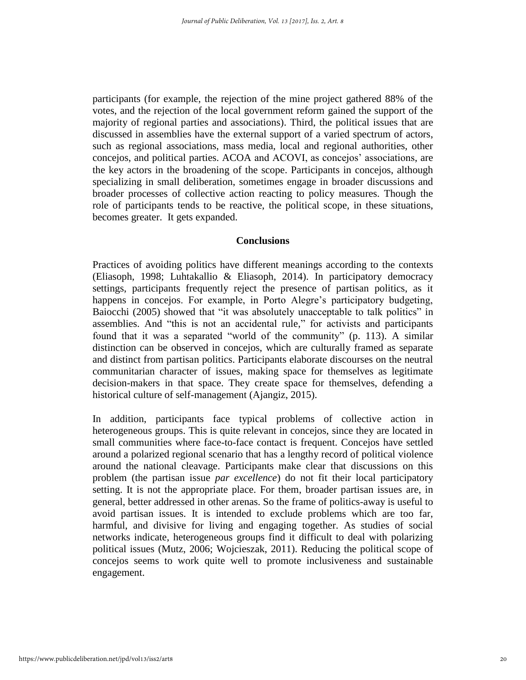participants (for example, the rejection of the mine project gathered 88% of the votes, and the rejection of the local government reform gained the support of the majority of regional parties and associations). Third, the political issues that are discussed in assemblies have the external support of a varied spectrum of actors, such as regional associations, mass media, local and regional authorities, other concejos, and political parties. ACOA and ACOVI, as concejos' associations, are the key actors in the broadening of the scope. Participants in concejos, although specializing in small deliberation, sometimes engage in broader discussions and broader processes of collective action reacting to policy measures. Though the role of participants tends to be reactive, the political scope, in these situations, becomes greater. It gets expanded.

### **Conclusions**

Practices of avoiding politics have different meanings according to the contexts (Eliasoph, 1998; Luhtakallio & Eliasoph, 2014). In participatory democracy settings, participants frequently reject the presence of partisan politics, as it happens in concejos. For example, in Porto Alegre's participatory budgeting, Baiocchi (2005) showed that "it was absolutely unacceptable to talk politics" in assemblies. And "this is not an accidental rule," for activists and participants found that it was a separated "world of the community" (p. 113). A similar distinction can be observed in concejos, which are culturally framed as separate and distinct from partisan politics. Participants elaborate discourses on the neutral communitarian character of issues, making space for themselves as legitimate decision-makers in that space. They create space for themselves, defending a historical culture of self-management (Ajangiz, 2015).

In addition, participants face typical problems of collective action in heterogeneous groups. This is quite relevant in concejos, since they are located in small communities where face-to-face contact is frequent. Concejos have settled around a polarized regional scenario that has a lengthy record of political violence around the national cleavage. Participants make clear that discussions on this problem (the partisan issue *par excellence*) do not fit their local participatory setting. It is not the appropriate place. For them, broader partisan issues are, in general, better addressed in other arenas. So the frame of politics-away is useful to avoid partisan issues. It is intended to exclude problems which are too far, harmful, and divisive for living and engaging together. As studies of social networks indicate, heterogeneous groups find it difficult to deal with polarizing political issues (Mutz, 2006; Wojcieszak, 2011). Reducing the political scope of concejos seems to work quite well to promote inclusiveness and sustainable engagement.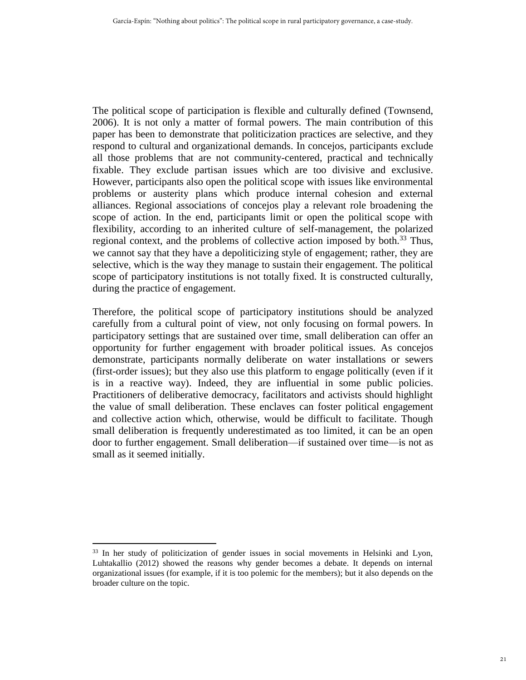The political scope of participation is flexible and culturally defined (Townsend, 2006). It is not only a matter of formal powers. The main contribution of this paper has been to demonstrate that politicization practices are selective, and they respond to cultural and organizational demands. In concejos, participants exclude all those problems that are not community-centered, practical and technically fixable. They exclude partisan issues which are too divisive and exclusive. However, participants also open the political scope with issues like environmental problems or austerity plans which produce internal cohesion and external alliances. Regional associations of concejos play a relevant role broadening the scope of action. In the end, participants limit or open the political scope with flexibility, according to an inherited culture of self-management, the polarized regional context, and the problems of collective action imposed by both. $33$  Thus, we cannot say that they have a depoliticizing style of engagement; rather, they are selective, which is the way they manage to sustain their engagement. The political scope of participatory institutions is not totally fixed. It is constructed culturally, during the practice of engagement.

Therefore, the political scope of participatory institutions should be analyzed carefully from a cultural point of view, not only focusing on formal powers. In participatory settings that are sustained over time, small deliberation can offer an opportunity for further engagement with broader political issues. As concejos demonstrate, participants normally deliberate on water installations or sewers (first-order issues); but they also use this platform to engage politically (even if it is in a reactive way). Indeed, they are influential in some public policies. Practitioners of deliberative democracy, facilitators and activists should highlight the value of small deliberation. These enclaves can foster political engagement and collective action which, otherwise, would be difficult to facilitate. Though small deliberation is frequently underestimated as too limited, it can be an open door to further engagement. Small deliberation—if sustained over time—is not as small as it seemed initially.

<sup>&</sup>lt;sup>33</sup> In her study of politicization of gender issues in social movements in Helsinki and Lyon, Luhtakallio (2012) showed the reasons why gender becomes a debate. It depends on internal organizational issues (for example, if it is too polemic for the members); but it also depends on the broader culture on the topic.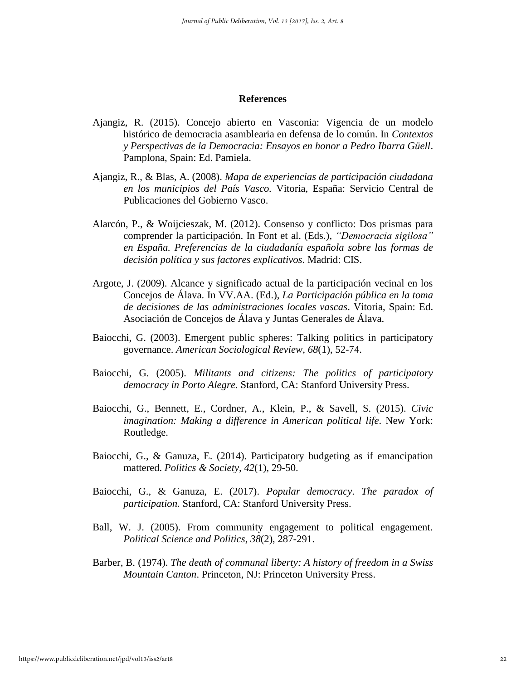#### **References**

- Ajangiz, R. (2015). Concejo abierto en Vasconia: Vigencia de un modelo histórico de democracia asamblearia en defensa de lo común. In *Contextos y Perspectivas de la Democracia: Ensayos en honor a Pedro Ibarra Güell*. Pamplona, Spain: Ed. Pamiela.
- Ajangiz, R., & Blas, A. (2008). *Mapa de experiencias de participación ciudadana en los municipios del País Vasco.* Vitoria, España: Servicio Central de Publicaciones del Gobierno Vasco.
- Alarcón, P., & Woijcieszak, M. (2012). Consenso y conflicto: Dos prismas para comprender la participación. In Font et al. (Eds.), *"Democracia sigilosa" en España. Preferencias de la ciudadanía española sobre las formas de decisión política y sus factores explicativos*. Madrid: CIS.
- Argote, J. (2009). Alcance y significado actual de la participación vecinal en los Concejos de Álava. In VV.AA. (Ed.), *La Participación pública en la toma de decisiones de las administraciones locales vascas*. Vitoria, Spain: Ed. Asociación de Concejos de Álava y Juntas Generales de Álava.
- Baiocchi, G. (2003). Emergent public spheres: Talking politics in participatory governance. *American Sociological Review, 68*(1), 52-74.
- Baiocchi, G. (2005). *Militants and citizens: The politics of participatory democracy in Porto Alegre*. Stanford, CA: Stanford University Press.
- Baiocchi, G., Bennett, E., Cordner, A., Klein, P., & Savell, S. (2015). *Civic imagination: Making a difference in American political life*. New York: Routledge.
- Baiocchi, G., & Ganuza, E. (2014). Participatory budgeting as if emancipation mattered. *Politics & Society, 42*(1), 29-50.
- Baiocchi, G., & Ganuza, E. (2017). *Popular democracy*. *The paradox of participation.* Stanford, CA: Stanford University Press.
- Ball, W. J. (2005). From community engagement to political engagement. *Political Science and Politics*, *38*(2), 287-291.
- Barber, B. (1974). *The death of communal liberty: A history of freedom in a Swiss Mountain Canton*. Princeton, NJ: Princeton University Press.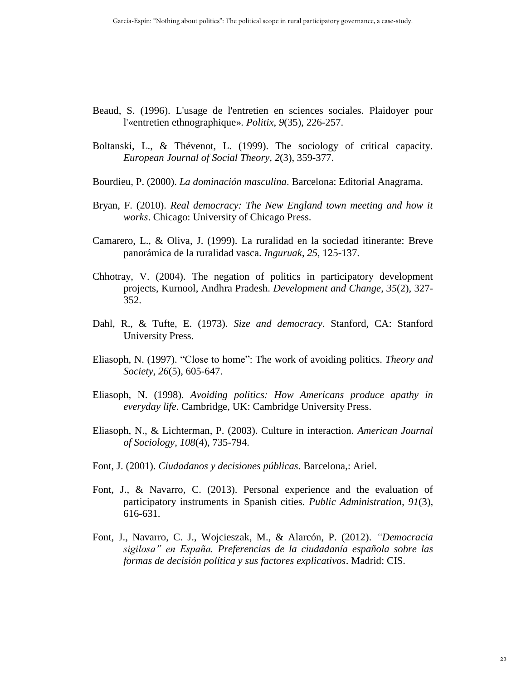- Beaud, S. (1996). L'usage de l'entretien en sciences sociales. Plaidoyer pour l'«entretien ethnographique». *Politix*, *9*(35), 226-257.
- Boltanski, L., & Thévenot, L. (1999). The sociology of critical capacity. *European Journal of Social Theory*, *2*(3), 359-377.
- Bourdieu, P. (2000). *La dominación masculina*. Barcelona: Editorial Anagrama.
- Bryan, F. (2010). *Real democracy: The New England town meeting and how it works*. Chicago: University of Chicago Press.
- Camarero, L., & Oliva, J. (1999). La ruralidad en la sociedad itinerante: Breve panorámica de la ruralidad vasca. *Inguruak*, *25*, 125-137.
- Chhotray, V. (2004). The negation of politics in participatory development projects, Kurnool, Andhra Pradesh. *Development and Change*, *35*(2), 327- 352.
- Dahl, R., & Tufte, E. (1973). *Size and democracy*. Stanford, CA: Stanford University Press.
- Eliasoph, N. (1997). "Close to home": The work of avoiding politics. *Theory and Society, 26*(5), 605-647.
- Eliasoph, N. (1998). *Avoiding politics: How Americans produce apathy in everyday life*. Cambridge, UK: Cambridge University Press.
- Eliasoph, N., & Lichterman, P. (2003). Culture in interaction. *American Journal of Sociology, 108*(4), 735-794.
- Font, J. (2001). *Ciudadanos y decisiones públicas*. Barcelona,: Ariel.
- Font, J., & Navarro, C. (2013). Personal experience and the evaluation of participatory instruments in Spanish cities. *Public Administration, 91*(3), 616-631.
- Font, J., Navarro, C. J., Wojcieszak, M., & Alarcón, P. (2012). *"Democracia sigilosa" en España. Preferencias de la ciudadanía española sobre las formas de decisión política y sus factores explicativos*. Madrid: CIS.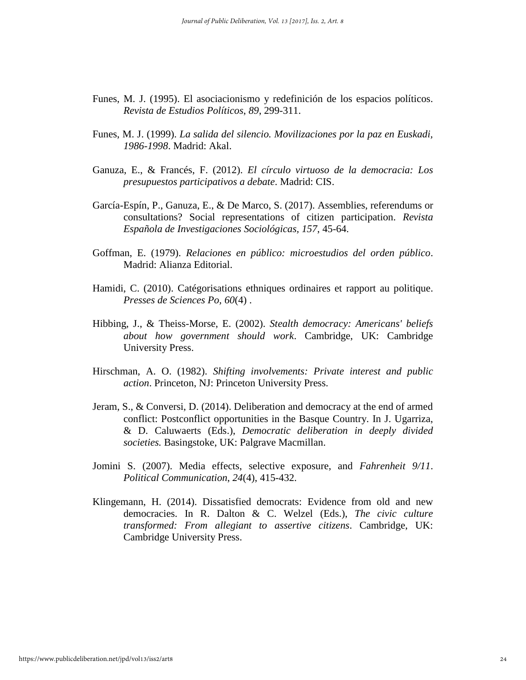- Funes, M. J. (1995). El asociacionismo y redefinición de los espacios políticos. *Revista de Estudios Políticos*, *89*, 299-311.
- Funes, M. J. (1999). *La salida del silencio. Movilizaciones por la paz en Euskadi, 1986-1998*. Madrid: Akal.
- Ganuza, E., & Francés, F. (2012). *El círculo virtuoso de la democracia: Los presupuestos participativos a debate*. Madrid: CIS.
- García-Espín, P., Ganuza, E., & De Marco, S. (2017). Assemblies, referendums or consultations? Social representations of citizen participation. *Revista Española de Investigaciones Sociológicas, 157*, 45-64.
- Goffman, E. (1979). *Relaciones en público: microestudios del orden público*. Madrid: Alianza Editorial.
- Hamidi, C. (2010). Catégorisations ethniques ordinaires et rapport au politique. *Presses de Sciences Po, 60*(4) .
- Hibbing, J., & Theiss-Morse, E. (2002). *Stealth democracy: Americans' beliefs about how government should work*. Cambridge, UK: Cambridge University Press.
- Hirschman, A. O. (1982). *Shifting involvements: Private interest and public action*. Princeton, NJ: Princeton University Press.
- Jeram, S., & Conversi, D. (2014). Deliberation and democracy at the end of armed conflict: Postconflict opportunities in the Basque Country. In J. Ugarriza, & D. Caluwaerts (Eds.), *Democratic deliberation in deeply divided societies.* Basingstoke, UK: Palgrave Macmillan.
- Jomini S. (2007). Media effects, selective exposure, and *Fahrenheit 9/11*. *Political Communication*, *24*(4), 415-432.
- Klingemann, H. (2014). Dissatisfied democrats: Evidence from old and new democracies. In R. Dalton & C. Welzel (Eds.), *The civic culture transformed: From allegiant to assertive citizens*. Cambridge, UK: Cambridge University Press.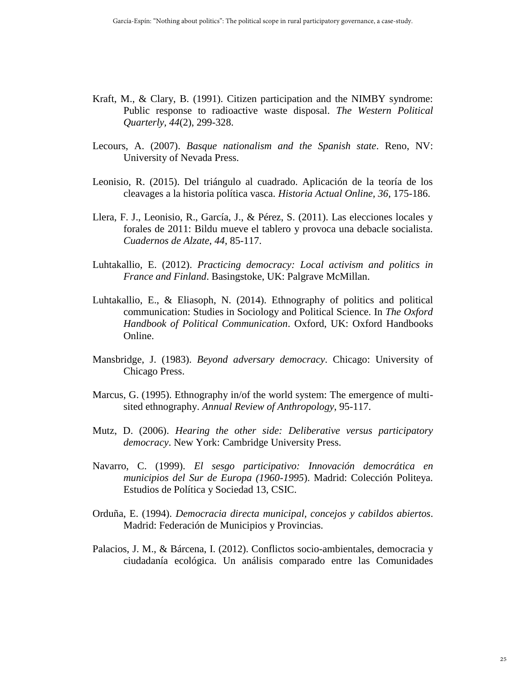- Kraft, M., & Clary, B. (1991). Citizen participation and the NIMBY syndrome: Public response to radioactive waste disposal. *The Western Political Quarterly, 44*(2), 299-328.
- Lecours, A. (2007). *Basque nationalism and the Spanish state*. Reno, NV: University of Nevada Press.
- Leonisio, R. (2015). Del triángulo al cuadrado. Aplicación de la teoría de los cleavages a la historia política vasca. *Historia Actual Online, 36*, 175-186.
- Llera, F. J., Leonisio, R., García, J., & Pérez, S. (2011). Las elecciones locales y forales de 2011: Bildu mueve el tablero y provoca una debacle socialista. *Cuadernos de Alzate*, *44*, 85-117.
- Luhtakallio, E. (2012). *Practicing democracy: Local activism and politics in France and Finland*. Basingstoke, UK: Palgrave McMillan.
- Luhtakallio, E., & Eliasoph, N. (2014). Ethnography of politics and political communication: Studies in Sociology and Political Science. In *The Oxford Handbook of Political Communication*. Oxford, UK: Oxford Handbooks Online.
- Mansbridge, J. (1983). *Beyond adversary democracy*. Chicago: University of Chicago Press.
- Marcus, G. (1995). Ethnography in/of the world system: The emergence of multisited ethnography. *Annual Review of Anthropology*, 95-117.
- Mutz, D. (2006). *Hearing the other side: Deliberative versus participatory democracy*. New York: Cambridge University Press.
- Navarro, C. (1999). *El sesgo participativo: Innovación democrática en municipios del Sur de Europa (1960-1995*). Madrid: Colección Politeya. Estudios de Política y Sociedad 13, CSIC.
- Orduña, E. (1994). *Democracia directa municipal, concejos y cabildos abiertos*. Madrid: Federación de Municipios y Provincias.
- Palacios, J. M., & Bárcena, I. (2012). Conflictos socio-ambientales, democracia y ciudadanía ecológica. Un análisis comparado entre las Comunidades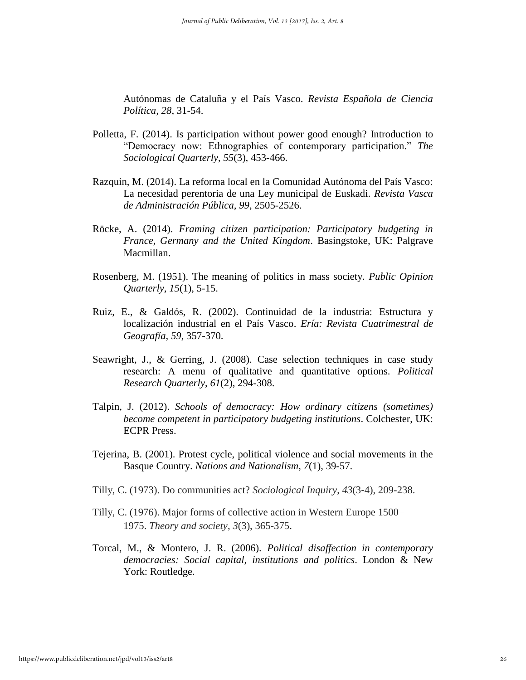Autónomas de Cataluña y el País Vasco. *Revista Española de Ciencia Política, 28*, 31-54.

- Polletta, F. (2014). Is participation without power good enough? Introduction to "Democracy now: Ethnographies of contemporary participation." *The Sociological Quarterly*, *55*(3), 453-466.
- Razquin, M. (2014). La reforma local en la Comunidad Autónoma del País Vasco: La necesidad perentoria de una Ley municipal de Euskadi. *Revista Vasca de Administración Pública, 99*, 2505-2526.
- Röcke, A. (2014). *Framing citizen participation: Participatory budgeting in France, Germany and the United Kingdom*. Basingstoke, UK: Palgrave Macmillan.
- Rosenberg, M. (1951). The meaning of politics in mass society. *Public Opinion Quarterly*, *15*(1), 5-15.
- Ruiz, E., & Galdós, R. (2002). Continuidad de la industria: Estructura y localización industrial en el País Vasco. *Ería: Revista Cuatrimestral de Geografía, 59*, 357-370.
- Seawright, J., & Gerring, J. (2008). Case selection techniques in case study research: A menu of qualitative and quantitative options. *Political Research Quarterly*, *61*(2), 294-308.
- Talpin, J. (2012). *Schools of democracy: How ordinary citizens (sometimes) become competent in participatory budgeting institutions*. Colchester, UK: ECPR Press.
- Tejerina, B. (2001). Protest cycle, political violence and social movements in the Basque Country. *Nations and Nationalism*, *7*(1), 39-57.
- Tilly, C. (1973). Do communities act? *Sociological Inquiry*, *43*(3‐4), 209-238.
- Tilly, C. (1976). Major forms of collective action in Western Europe 1500– 1975. *Theory and society*, *3*(3), 365-375.
- Torcal, M., & Montero, J. R. (2006). *Political disaffection in contemporary democracies: Social capital, institutions and politics*. London & New York: Routledge.